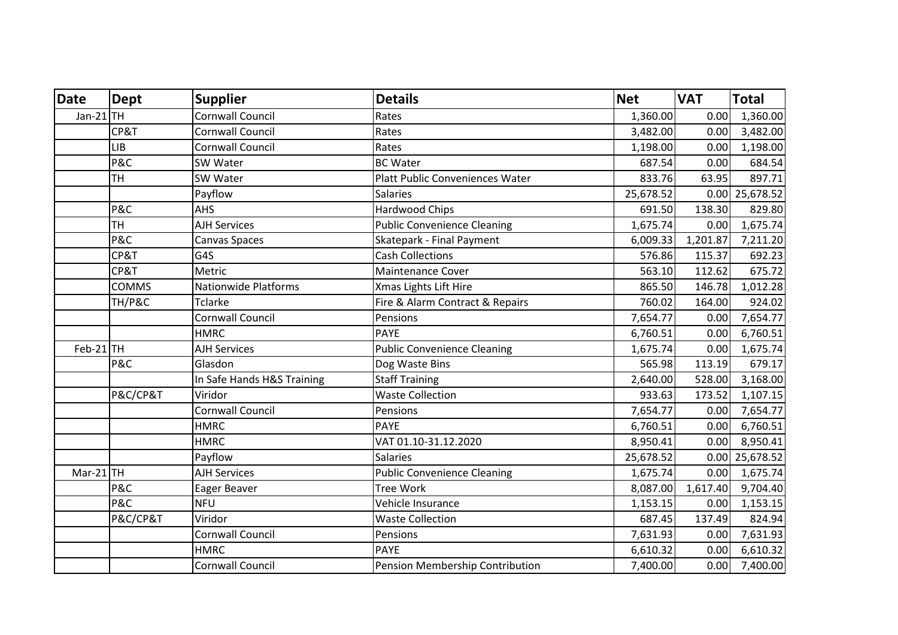| <b>Date</b> | <b>Dept</b>  | <b>Supplier</b>            | <b>Details</b>                         | <b>Net</b> | <b>VAT</b> | <b>Total</b>     |
|-------------|--------------|----------------------------|----------------------------------------|------------|------------|------------------|
| Jan-21 $TH$ |              | <b>Cornwall Council</b>    | Rates                                  | 1,360.00   | 0.00       | 1,360.00         |
|             | CP&T         | <b>Cornwall Council</b>    | Rates                                  | 3,482.00   | 0.00       | 3,482.00         |
|             | <b>LIB</b>   | <b>Cornwall Council</b>    | Rates                                  | 1,198.00   | 0.00       | 1,198.00         |
|             | P&C          | SW Water                   | <b>BC Water</b>                        | 687.54     | 0.00       | 684.54           |
|             | TH           | SW Water                   | <b>Platt Public Conveniences Water</b> | 833.76     | 63.95      | 897.71           |
|             |              | Payflow                    | <b>Salaries</b>                        | 25,678.52  |            | $0.00$ 25,678.52 |
|             | P&C          | <b>AHS</b>                 | <b>Hardwood Chips</b>                  | 691.50     | 138.30     | 829.80           |
|             | <b>TH</b>    | <b>AJH Services</b>        | <b>Public Convenience Cleaning</b>     | 1,675.74   | 0.00       | 1,675.74         |
|             | P&C          | Canvas Spaces              | Skatepark - Final Payment              | 6,009.33   | 1,201.87   | 7,211.20         |
|             | CP&T         | G4S                        | <b>Cash Collections</b>                | 576.86     | 115.37     | 692.23           |
|             | CP&T         | Metric                     | <b>Maintenance Cover</b>               | 563.10     | 112.62     | 675.72           |
|             | <b>COMMS</b> | Nationwide Platforms       | Xmas Lights Lift Hire                  | 865.50     | 146.78     | 1,012.28         |
|             | TH/P&C       | <b>Tclarke</b>             | Fire & Alarm Contract & Repairs        | 760.02     | 164.00     | 924.02           |
|             |              | Cornwall Council           | Pensions                               | 7,654.77   | 0.00       | 7,654.77         |
|             |              | <b>HMRC</b>                | <b>PAYE</b>                            | 6,760.51   | 0.00       | 6,760.51         |
| $Feb-21$ TH |              | <b>AJH Services</b>        | <b>Public Convenience Cleaning</b>     | 1,675.74   | 0.00       | 1,675.74         |
|             | P&C          | Glasdon                    | Dog Waste Bins                         | 565.98     | 113.19     | 679.17           |
|             |              | In Safe Hands H&S Training | <b>Staff Training</b>                  | 2,640.00   | 528.00     | 3,168.00         |
|             | P&C/CP&T     | Viridor                    | <b>Waste Collection</b>                | 933.63     | 173.52     | 1,107.15         |
|             |              | <b>Cornwall Council</b>    | Pensions                               | 7,654.77   | 0.00       | 7,654.77         |
|             |              | <b>HMRC</b>                | <b>PAYE</b>                            | 6,760.51   | 0.00       | 6,760.51         |
|             |              | <b>HMRC</b>                | VAT 01.10-31.12.2020                   | 8,950.41   | 0.00       | 8,950.41         |
|             |              | Payflow                    | <b>Salaries</b>                        | 25,678.52  |            | $0.00$ 25,678.52 |
| $Mar-21$ TH |              | <b>AJH Services</b>        | <b>Public Convenience Cleaning</b>     | 1,675.74   | 0.00       | 1,675.74         |
|             | P&C          | Eager Beaver               | <b>Tree Work</b>                       | 8,087.00   | 1,617.40   | 9,704.40         |
|             | P&C          | <b>NFU</b>                 | Vehicle Insurance                      | 1,153.15   | 0.00       | 1,153.15         |
|             | P&C/CP&T     | Viridor                    | <b>Waste Collection</b>                | 687.45     | 137.49     | 824.94           |
|             |              | <b>Cornwall Council</b>    | Pensions                               | 7,631.93   | 0.00       | 7,631.93         |
|             |              | <b>HMRC</b>                | <b>PAYE</b>                            | 6,610.32   | 0.00       | 6,610.32         |
|             |              | <b>Cornwall Council</b>    | Pension Membership Contribution        | 7,400.00   | 0.00       | 7,400.00         |